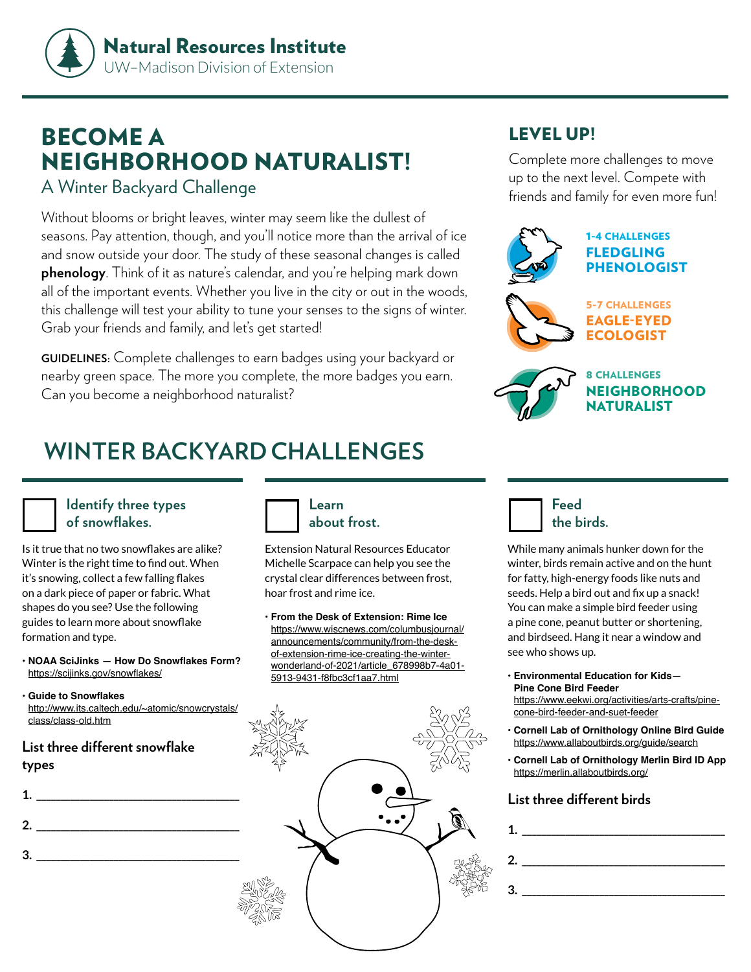

# BECOME A NEIGHBORHOOD NATURALIST!

### A Winter Backyard Challenge

Without blooms or bright leaves, winter may seem like the dullest of seasons. Pay attention, though, and you'll notice more than the arrival of ice and snow outside your door. The study of these seasonal changes is called **phenology**. Think of it as nature's calendar, and you're helping mark down all of the important events. Whether you live in the city or out in the woods, this challenge will test your ability to tune your senses to the signs of winter. Grab your friends and family, and let's get started!

**GUIDELINES:** Complete challenges to earn badges using your backyard or nearby green space. The more you complete, the more badges you earn. Can you become a neighborhood naturalist?

# **WINTER BACKYARD CHALLENGES**

#### **Identify three types of snowflakes.**

Is it true that no two snowflakes are alike? Winter is the right time to find out. When it's snowing, collect a few falling flakes on a dark piece of paper or fabric. What shapes do you see? Use the following guides to learn more about snowflake formation and type.

- **• NOAA SciJinks How Do Snowflakes Form?** <https://scijinks.gov/snowflakes/>
- **• Guide to Snowflakes** [http://www.its.caltech.edu/~atomic/snowcrystals/](http://www.its.caltech.edu/~atomic/snowcrystals/class/class-old.htm) [class/class-old.htm](http://www.its.caltech.edu/~atomic/snowcrystals/class/class-old.htm)

#### **List three different snowflake types**

| L. |  |  |  |
|----|--|--|--|
|    |  |  |  |

**3. \_\_\_\_\_\_\_\_\_\_\_\_\_\_\_\_\_\_\_\_\_\_\_\_\_\_\_\_\_\_\_\_\_\_\_\_\_\_\_\_\_\_**



**about frost.**

Extension Natural Resources Educator Michelle Scarpace can help you see the crystal clear differences between frost, hoar frost and rime ice.

**• From the Desk of Extension: Rime Ice** [https://www.wiscnews.com/columbusjournal/](https://www.wiscnews.com/columbusjournal/announcements/community/from-the-desk-of-extension-rime-ice-creating-the-winter-wonderland-of-2021/article_678998b7-4a01-5913-9431-f8fbc3cf1aa7.html) [announcements/community/from-the-desk](https://www.wiscnews.com/columbusjournal/announcements/community/from-the-desk-of-extension-rime-ice-creating-the-winter-wonderland-of-2021/article_678998b7-4a01-5913-9431-f8fbc3cf1aa7.html)[of-extension-rime-ice-creating-the-winter](https://www.wiscnews.com/columbusjournal/announcements/community/from-the-desk-of-extension-rime-ice-creating-the-winter-wonderland-of-2021/article_678998b7-4a01-5913-9431-f8fbc3cf1aa7.html)[wonderland-of-2021/article\\_678998b7-4a01-](https://www.wiscnews.com/columbusjournal/announcements/community/from-the-desk-of-extension-rime-ice-creating-the-winter-wonderland-of-2021/article_678998b7-4a01-5913-9431-f8fbc3cf1aa7.html) [5913-9431-f8fbc3cf1aa7.html](https://www.wiscnews.com/columbusjournal/announcements/community/from-the-desk-of-extension-rime-ice-creating-the-winter-wonderland-of-2021/article_678998b7-4a01-5913-9431-f8fbc3cf1aa7.html)



## LEVEL UP!

Complete more challenges to move up to the next level. Compete with friends and family for even more fun!





8 CHALLENGES **NEIGHBORHOOD** NATURALIST



While many animals hunker down for the winter, birds remain active and on the hunt for fatty, high-energy foods like nuts and seeds. Help a bird out and fix up a snack! You can make a simple bird feeder using a pine cone, peanut butter or shortening, and birdseed. Hang it near a window and see who shows up.

**• Environmental Education for Kids— Pine Cone Bird Feeder** [https://www.eekwi.org/activities/arts-crafts/pine-](https://www.eekwi.org/activities/arts-crafts/pine-cone-bird-feeder-and-suet-feeder)

[cone-bird-feeder-and-suet-feeder](https://www.eekwi.org/activities/arts-crafts/pine-cone-bird-feeder-and-suet-feeder)

- **• Cornell Lab of Ornithology Online Bird Guide** <https://www.allaboutbirds.org/guide/search>
- **• Cornell Lab of Ornithology Merlin Bird ID App** <https://merlin.allaboutbirds.org/>

#### **List three different birds**

| $\mathbf{1.}$                     |  |
|-----------------------------------|--|
| $\mathbf{2.}$                     |  |
| $\begin{array}{c}\n3.\end{array}$ |  |